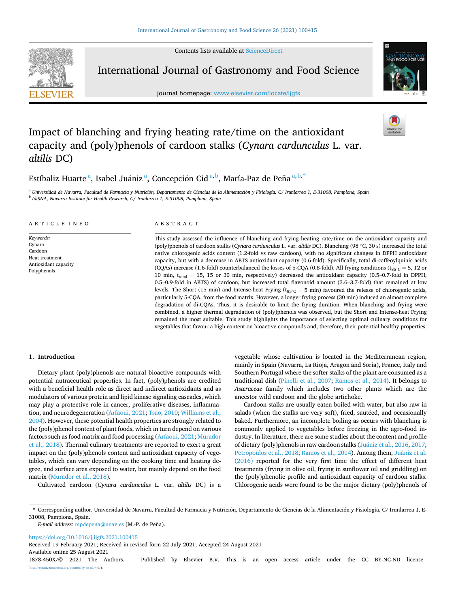Contents lists available at [ScienceDirect](www.sciencedirect.com/science/journal/1878450X)



International Journal of Gastronomy and Food Science

journal homepage: [www.elsevier.com/locate/ijgfs](https://www.elsevier.com/locate/ijgfs)



# Impact of blanching and frying heating rate/time on the antioxidant capacity and (poly)phenols of cardoon stalks (*Cynara cardunculus* L. var. *altilis* DC)

Estíbaliz Huarte<sup>a</sup>, Isabel Juániz<sup>a</sup>, Concepción Cid<sup>a,b</sup>, María-Paz de Peña<sup>a,b,\*</sup>

<sup>a</sup> Universidad de Navarra, Facultad de Farmacia y Nutrición, Departamento de Ciencias de la Alimentación y Fisiología, C/ Irunlarrea 1, E-31008, Pamplona, Spain <sup>b</sup> *IdiSNA, Navarra Institute for Health Research, C/ Irunlarrea 1, E-31008, Pamplona, Spain* 

| ARTICLE INFO                                                                            | ABSTRACT                                                                                                                                                                                                                                                                                                                                                                                                                                                                                                                                                                                                                                                                                                                                                                                                                                                                                                                                                                                                                                                                                                                                                                                                                                                                                                                                                                                                                                                          |  |  |  |  |
|-----------------------------------------------------------------------------------------|-------------------------------------------------------------------------------------------------------------------------------------------------------------------------------------------------------------------------------------------------------------------------------------------------------------------------------------------------------------------------------------------------------------------------------------------------------------------------------------------------------------------------------------------------------------------------------------------------------------------------------------------------------------------------------------------------------------------------------------------------------------------------------------------------------------------------------------------------------------------------------------------------------------------------------------------------------------------------------------------------------------------------------------------------------------------------------------------------------------------------------------------------------------------------------------------------------------------------------------------------------------------------------------------------------------------------------------------------------------------------------------------------------------------------------------------------------------------|--|--|--|--|
| Keywords:<br>Cynara<br>Cardoon<br>Heat treatment<br>Antioxidant capacity<br>Polyphenols | This study assessed the influence of blanching and frying heating rate/time on the antioxidant capacity and<br>(poly)phenols of cardoon stalks ( <i>Cynara cardunculus</i> L. var. <i>altilis</i> DC). Blanching (98 °C, 30 s) increased the total<br>native chlorogenic acids content (1.2-fold vs raw cardoon), with no significant changes in DPPH antioxidant<br>capacity, but with a decrease in ABTS antioxidant capacity (0.6-fold). Specifically, total di-caffeoylquinic acids<br>(COAs) increase (1.6-fold) counterbalanced the losses of 5-COA (0.8-fold). All frying conditions ( $t_{85\degree C} = 5, 12$ or<br>10 min, $t_{total} = 15$ , 15 or 30 min, respectively) decreased the antioxidant capacity (0.5–0.7-fold in DPPH,<br>0.5–0.9-fold in ABTS) of cardoon, but increased total flavonoid amount (3.6–3.7-fold) that remained at low<br>levels. The Short (15 min) and Intense-heat Frying ( $t_{\text{S5}^{\circ}C} = 5$ min) favoured the release of chlorogenic acids,<br>particularly 5-COA, from the food matrix. However, a longer frying process (30 min) induced an almost complete<br>degradation of di-COAs. Thus, it is desirable to limit the frying duration. When blanching and frying were<br>combined, a higher thermal degradation of (poly)phenols was observed, but the Short and Intense-heat Frying<br>remained the most suitable. This study highlights the importance of selecting optimal culinary conditions for |  |  |  |  |

# **1. Introduction**

Dietary plant (poly)phenols are natural bioactive compounds with potential nutraceutical properties. In fact, (poly)phenols are credited with a beneficial health role as direct and indirect antioxidants and as modulators of various protein and lipid kinase signaling cascades, which may play a protective role in cancer, proliferative diseases, inflammation, and neurodegeneration ([Arfaoui, 2021](#page-6-0); [Tsao, 2010; Williams et al.,](#page-7-0)  [2004\)](#page-7-0). However, these potential health properties are strongly related to the (poly)phenol content of plant foods, which in turn depend on various factors such as food matrix and food processing ([Arfaoui, 2021](#page-6-0); [Murador](#page-6-0)  [et al., 2018\)](#page-6-0). Thermal culinary treatments are reported to exert a great impact on the (poly)phenols content and antioxidant capacity of vegetables, which can vary depending on the cooking time and heating degree, and surface area exposed to water, but mainly depend on the food matrix [\(Murador et al., 2018](#page-6-0)).

Cultivated cardoon (*Cynara cardunculus* L. var. *altilis* DC) is a

vegetable whose cultivation is located in the Mediterranean region, mainly in Spain (Navarra, La Rioja, Aragon and Soria), France, Italy and Southern Portugal where the softer stalks of the plant are consumed as a traditional dish ([Pinelli et al., 2007](#page-7-0); [Ramos et al., 2014](#page-7-0)). It belongs to *Asteraceae* family which includes two other plants which are the ancestor wild cardoon and the globe artichoke.

vegetables that favour a high content on bioactive compounds and, therefore, their potential healthy properties.

Cardoon stalks are usually eaten boiled with water, but also raw in salads (when the stalks are very soft), fried, sautéed, and occasionally baked. Furthermore, an incomplete boiling as occurs with blanching is commonly applied to vegetables before freezing in the agro-food industry. In literature, there are some studies about the content and profile of dietary (poly)phenols in raw cardoon stalks (Juániz [et al., 2016, 2017](#page-6-0); [Petropoulos et al., 2018; Ramos et al., 2014\)](#page-7-0). Among them, Juániz et al. [\(2016\)](#page-6-0) reported for the very first time the effect of different heat treatments (frying in olive oil, frying in sunflower oil and griddling) on the (poly)phenolic profile and antioxidant capacity of cardoon stalks. Chlorogenic acids were found to be the major dietary (poly)phenols of

\* Corresponding author. Universidad de Navarra, Facultad de Farmacia y Nutrición, Departamento de Ciencias de la Alimentación y Fisiología, C/ Irunlarrea 1, E-31008, Pamplona, Spain.

*E-mail address:* [mpdepena@unav.es](mailto:mpdepena@unav.es) (M.-P. de Peña).

<https://doi.org/10.1016/j.ijgfs.2021.100415>

Available online 25 August 2021 Received 19 February 2021; Received in revised form 22 July 2021; Accepted 24 August 2021

1878-450X/© 2021 The Authors. Published by Elsevier B.V. This is an open access article under the CC BY-NC-ND license [\(http://creativecommons.org/licenses/by-nc-nd/4.0/\)](http://creativecommons.org/licenses/by-nc-nd/4.0/).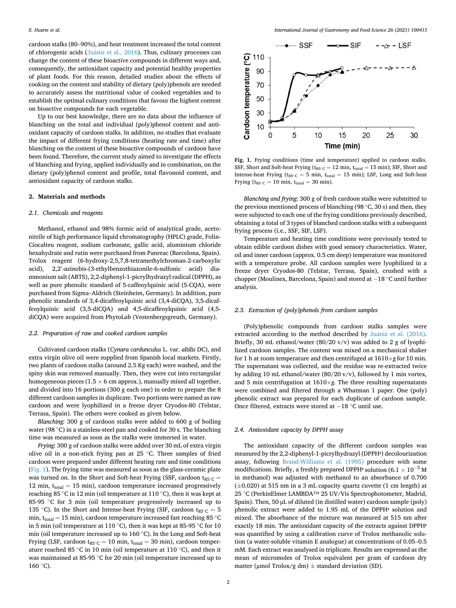cardoon stalks (80–90%), and heat treatment increased the total content of chlorogenic acids (Juániz et al., 2016). Thus, culinary processes can change the content of these bioactive compounds in different ways and, consequently, the antioxidant capacity and potential healthy properties of plant foods. For this reason, detailed studies about the effects of cooking on the content and stability of dietary (poly)phenols are needed to accurately assess the nutritional value of cooked vegetables and to establish the optimal culinary conditions that favour the highest content on bioactive compounds for each vegetable.

Up to our best knowledge, there are no data about the influence of blanching on the total and individual (poly)phenol content and antioxidant capacity of cardoon stalks. In addition, no studies that evaluate the impact of different frying conditions (heating rate and time) after blanching on the content of these bioactive compounds of cardoon have been found. Therefore, the current study aimed to investigate the effects of blanching and frying, applied individually and in combination, on the dietary (poly)phenol content and profile, total flavonoid content, and antioxidant capacity of cardoon stalks.

## **2. Materials and methods**

#### *2.1. Chemicals and reagents*

Methanol, ethanol and 98% formic acid of analytical grade, acetonitrile of high performance liquid chromatography (HPLC) grade, Folin-Ciocalteu reagent, sodium carbonate, gallic acid, aluminium chloride hexahydrate and rutin were purchased from Panreac (Barcelona, Spain). Trolox reagent (6-hydroxy-2,5,7,8-tetramethylchroman-2-carboxylic acid), 2,2′ -azinobis-(3-ethylbenzothiazonile-6-sulfonic acid) diammonium salt (ABTS), 2,2-diphenyl-1-picrylhydrazyl radical (DPPH), as well as pure phenolic standard of 5-caffeoylquinic acid (5-CQA), were purchased from Sigma–Aldrich (Steinheim, Germany). In addition, pure phenolic standards of 3,4-dicaffeoylquinic acid (3,4-diCQA), 3,5-dicaffeoylquinic acid (3,5-diCQA) and 4,5-dicaffeoylquinic acid (4,5 diCQA) were acquired from PhytoLab (Vestenbergsgreuth, Germany).

#### *2.2. Preparation of raw and cooked cardoon samples*

Cultivated cardoon stalks (*Cynara cardunculus* L. var. *altilis* DC), and extra virgin olive oil were supplied from Spanish local markets. Firstly, two plants of cardoon stalks (around 2.5 Kg each) were washed, and the spiny skin was removed manually. Then, they were cut into rectangular homogeneous pieces (1.5  $\times$  6 cm approx.), manually mixed all together, and divided into 16 portions (300 g each one) in order to prepare the 8 different cardoon samples in duplicate. Two portions were named as raw cardoon and were lyophilized in a freeze dryer Cryodos-80 (Telstar, Terrasa, Spain). The others were cooked as given below.

*Blanching:* 300 g of cardoon stalks were added to 600 g of boiling water (98 °C) in a stainless-steel pan and cooked for 30 s. The blanching time was measured as soon as the stalks were immersed in water.

*Frying*: 300 g of cardoon stalks were added over 30 mL of extra virgin olive oil in a non-stick frying pan at 25 ◦C. Three samples of fried cardoon were prepared under different heating rate and time conditions (Fig. 1). The frying time was measured as soon as the glass-ceramic plate was turned on. In the Short and Soft-heat Frying (SSF, cardoon t $_{85°C}$  = 12 min,  $t_{total} = 15$  min), cardoon temperature increased progressively reaching 85 ◦C in 12 min (oil temperature at 110 ◦C), then it was kept at 85-95 ◦C for 3 min (oil temperature progressively increased up to 135 °C). In the Short and Intense-heat Frying (SIF, cardoon t<sub>85°C</sub> = 5 min,  $t_{total} = 15$  min), cardoon temperature increased fast reaching 85  $°C$ in 5 min (oil temperature at 110 ◦C), then it was kept at 85-95 ◦C for 10 min (oil temperature increased up to 160 ◦C). In the Long and Soft-heat Frying (LSF, cardoon t $_{85°C}$  = 10 min, t<sub>total</sub> = 30 min), cardoon temperature reached 85 ◦C in 10 min (oil temperature at 110 ◦C), and then it was maintained at 85-95 ℃ for 20 min (oil temperature increased up to 160 ◦C).



**Fig. 1.** Frying conditions (time and temperature) applied to cardoon stalks. SSF, Short and Soft-heat Frying ( $t_{85°C} = 12$  min,  $t_{total} = 15$  min); SIF, Short and Intense-heat Frying ( $t_{85°C} = 5$  min,  $t_{total} = 15$  min); LSF, Long and Soft-heat Frying ( $t_{85°C} = 10$  min,  $t_{total} = 30$  min).

*Blanching and frying*: 300 g of fresh cardoon stalks were submitted to the previous mentioned process of blanching (98  $°C$ , 30 s) and then, they were subjected to each one of the frying conditions previously described, obtaining a total of 3 types of blanched cardoon stalks with a subsequent frying process (i.e., SSF, SIF, LSF).

Temperature and heating time conditions were previously tested to obtain edible cardoon dishes with good sensory characteristics. Water, oil and inner cardoon (approx. 0.5 cm deep) temperature was monitored with a temperature probe. All cardoon samples were lyophilized in a freeze dryer Cryodos-80 (Telstar, Terrasa, Spain), crushed with a chopper (Moulinex, Barcelona, Spain) and stored at − 18 ◦C until further analysis.

## *2.3. Extraction of (poly)phenols from cardoon samples*

(Poly)phenolic compounds from cardoon stalks samples were extracted according to the method described by Juániz [et al. \(2016\)](#page-6-0). Briefly, 30 mL ethanol/water (80/20 v/v) was added to 2 g of lyophilized cardoon samples. The content was mixed on a mechanical shaker for 1 h at room temperature and then centrifuged at 1610×*g* for 10 min. The supernatant was collected, and the residue was re-extracted twice by adding 10 mL ethanol/water (80/20 v/v), followed by 1 min vortex, and 5 min centrifugation at 1610×*g*. The three resulting supernatants were combined and filtered through a Whatman 1 paper. One (poly) phenolic extract was prepared for each duplicate of cardoon sample. Once filtered, extracts were stored at − 18 ◦C until use.

#### *2.4. Antioxidant capacity by DPPH assay*

The antioxidant capacity of the different cardoon samples was measured by the 2,2-diphenyl-1-picrylhydrazyl (DPPH• ) decolourization assay, following [Brand-Williams et al. \(1995\)](#page-6-0) procedure with some modifications. Briefly, a freshly prepared DPPH• solution (6.1  $\times$  10<sup>-5</sup> M in methanol) was adjusted with methanol to an absorbance of 0.700 (±0.020) at 515 nm in a 3 mL capacity quartz cuvette (1 cm length) at 25 ◦C (PerkinElmer LAMBDA™ 25 UV/Vis Spectrophotometer, Madrid, Spain). Then, 50 μL of diluted (in distilled water) cardoon sample (poly) phenolic extract were added to 1.95 mL of the DPPH• solution and mixed. The absorbance of the mixture was measured at 515 nm after exactly 18 min. The antioxidant capacity of the extracts against DPPH• was quantified by using a calibration curve of Trolox methanolic solution (a water-soluble vitamin E analogue) at concentrations of 0.05–0.5 mM. Each extract was analysed in triplicate. Results are expressed as the mean of micromoles of Trolox equivalent per gram of cardoon dry matter (μmol Trolox/g dm)  $\pm$  standard deviation (SD).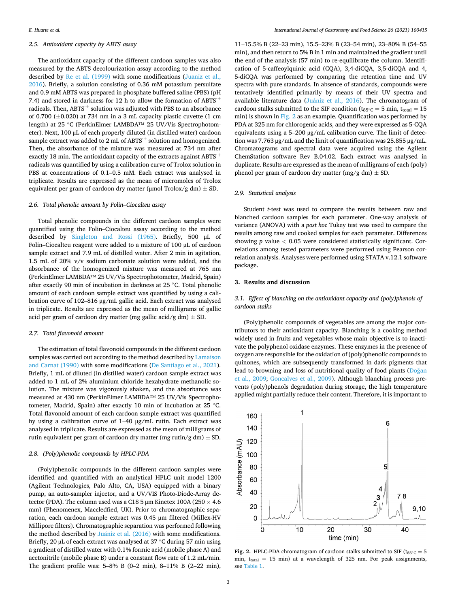# *2.5. Antioxidant capacity by ABTS assay*

The antioxidant capacity of the different cardoon samples was also measured by the ABTS decolourization assay according to the method described by [Re et al. \(1999\)](#page-7-0) with some modifications (Juaniz et al., [2016\)](#page-6-0). Briefly, a solution consisting of 0.36 mM potassium persulfate and 0.9 mM ABTS was prepared in phosphate buffered saline (PBS) (pH 7.4) and stored in darkness for 12 h to allow the formation of  $ABTS^+$ radicals. Then,  $ABTS^+$  solution was adjusted with PBS to an absorbance of 0.700 ( $\pm$ 0.020) at 734 nm in a 3 mL capacity plastic cuvette (1 cm length) at 25 ◦C (PerkinElmer LAMBDA™ 25 UV/Vis Spectrophotometer). Next, 100 μL of each properly diluted (in distilled water) cardoon sample extract was added to  $2 \text{ mL of ABTS}^+$  solution and homogenized. Then, the absorbance of the mixture was measured at 734 nm after exactly 18 min. The antioxidant capacity of the extracts against  $ABTS^+$ radicals was quantified by using a calibration curve of Trolox solution in PBS at concentrations of 0.1–0.5 mM. Each extract was analysed in triplicate. Results are expressed as the mean of micromoles of Trolox equivalent per gram of cardoon dry matter ( $\mu$ mol Trolox/g dm)  $\pm$  SD.

# *2.6. Total phenolic amount by Folin*–*Ciocalteu assay*

Total phenolic compounds in the different cardoon samples were quantified using the Folin–Ciocalteu assay according to the method described by [Singleton and Rossi \(1965\).](#page-7-0) Briefly, 500 μL of Folin–Ciocalteu reagent were added to a mixture of 100 μL of cardoon sample extract and 7.9 mL of distilled water. After 2 min in agitation, 1.5 mL of 20% v/v sodium carbonate solution were added, and the absorbance of the homogenized mixture was measured at 765 nm (PerkinElmer LAMBDA™ 25 UV/Vis Spectrophotometer, Madrid, Spain) after exactly 90 min of incubation in darkness at 25 ◦C. Total phenolic amount of each cardoon sample extract was quantified by using a calibration curve of 102–816 μg/mL gallic acid. Each extract was analysed in triplicate. Results are expressed as the mean of milligrams of gallic acid per gram of cardoon dry matter (mg gallic acid/g dm)  $\pm$  SD.

#### *2.7. Total flavonoid amount*

The estimation of total flavonoid compounds in the different cardoon samples was carried out according to the method described by [Lamaison](#page-6-0)  [and Carnat \(1990\)](#page-6-0) with some modifications [\(De Santiago et al., 2021](#page-6-0)). Briefly, 1 mL of diluted (in distilled water) cardoon sample extract was added to 1 mL of 2% aluminium chloride hexahydrate methanolic solution. The mixture was vigorously shaken, and the absorbance was measured at 430 nm (PerkinElmer LAMBDA™ 25 UV/Vis Spectrophotometer, Madrid, Spain) after exactly 10 min of incubation at 25 ◦C. Total flavonoid amount of each cardoon sample extract was quantified by using a calibration curve of 1–40 μg/mL rutin. Each extract was analysed in triplicate. Results are expressed as the mean of milligrams of rutin equivalent per gram of cardoon dry matter (mg rutin/g dm)  $\pm$  SD.

## *2.8. (Poly)phenolic compounds by HPLC-PDA*

(Poly)phenolic compounds in the different cardoon samples were identified and quantified with an analytical HPLC unit model 1200 (Agilent Technologies, Palo Alto, CA, USA) equipped with a binary pump, an auto-sampler injector, and a UV/VIS Photo-Diode-Array detector (PDA). The column used was a C18 5  $\mu$ m Kinetex 100A (250  $\times$  4.6 mm) (Phenomenex, Maccledfied, UK). Prior to chromatographic separation, each cardoon sample extract was 0.45 μm filtered (Millex-HV Millipore filters). Chromatographic separation was performed following the method described by Juániz [et al. \(2016\)](#page-6-0) with some modifications. Briefly, 20 μL of each extract was analysed at 37 ◦C during 57 min using a gradient of distilled water with 0.1% formic acid (mobile phase A) and acetonitrile (mobile phase B) under a constant flow rate of 1.2 mL/min. The gradient profile was: 5–8% B (0–2 min), 8–11% B (2–22 min),

11–15.5% B (22–23 min), 15.5–23% B (23–54 min), 23–80% B (54–55 min), and then return to 5% B in 1 min and maintained the gradient until the end of the analysis (57 min) to re-equilibrate the column. Identification of 5-caffeoylquinic acid (CQA), 3,4-diCQA, 3,5-diCQA and 4, 5-diCQA was performed by comparing the retention time and UV spectra with pure standards. In absence of standards, compounds were tentatively identified primarily by means of their UV spectra and available literature data (Juániz et al.,  $2016$ ). The chromatogram of cardoon stalks submitted to the SIF condition ( $t_{85°C} = 5$  min,  $t_{total} = 15$ min) is shown in Fig. 2 as an example. Quantification was performed by PDA at 325 nm for chlorogenic acids, and they were expressed as 5-CQA equivalents using a 5–200 μg/mL calibration curve. The limit of detection was 7.763 μg/mL and the limit of quantification was 25.855 μg/mL. Chromatograms and spectral data were acquired using the Agilent ChemStation software Rev B.04.02. Each extract was analysed in duplicate. Results are expressed as the mean of milligrams of each (poly) phenol per gram of cardoon dry matter (mg/g dm)  $\pm$  SD.

## *2.9. Statistical analysis*

Student *t*-test was used to compare the results between raw and blanched cardoon samples for each parameter. One-way analysis of variance (ANOVA) with a *post hoc* Tukey test was used to compare the results among raw and cooked samples for each parameter. Differences showing *p* value *<* 0.05 were considered statistically significant. Correlations among tested parameters were performed using Pearson correlation analysis. Analyses were performed using STATA v.12.1 software package.

#### **3. Results and discussion**

## *3.1. Effect of blanching on the antioxidant capacity and (poly)phenols of cardoon stalks*

(Poly)phenolic compounds of vegetables are among the major contributors to their antioxidant capacity. Blanching is a cooking method widely used in fruits and vegetables whose main objective is to inactivate the polyphenol oxidase enzymes. These enzymes in the presence of oxygen are responsible for the oxidation of (poly)phenolic compounds to quinones, which are subsequently transformed in dark pigments that lead to browning and loss of nutritional quality of food plants (Doğan [et al., 2009;](#page-6-0) [Goncalves et al., 2009](#page-6-0)). Although blanching process prevents (poly)phenols degradation during storage, the high temperature applied might partially reduce their content. Therefore, it is important to



**Fig. 2.** HPLC-PDA chromatogram of cardoon stalks submitted to SIF ( $t_{85} \circ c = 5$ ) min,  $t_{total}$  = 15 min) at a wavelength of 325 nm. For peak assignments, see [Table 1.](#page-4-0)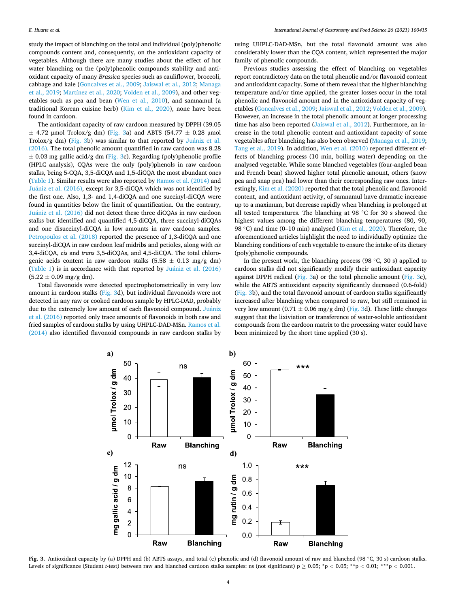study the impact of blanching on the total and individual (poly)phenolic compounds content and, consequently, on the antioxidant capacity of vegetables. Although there are many studies about the effect of hot water blanching on the (poly)phenolic compounds stability and antioxidant capacity of many *Brassica* species such as cauliflower, broccoli, cabbage and kale [\(Goncalves et al., 2009; Jaiswal et al., 2012](#page-6-0); [Managa](#page-6-0)  [et al., 2019;](#page-6-0) [Martínez et al., 2020;](#page-6-0) [Volden et al., 2009](#page-7-0)), and other vegetables such as pea and bean [\(Wen et al., 2010\)](#page-7-0), and samnamul (a traditional Korean cuisine herb) [\(Kim et al., 2020\)](#page-6-0), none have been found in cardoon.

The antioxidant capacity of raw cardoon measured by DPPH (39.05  $\pm$  4.72 µmol Trolox/g dm) (Fig. 3a) and ABTS (54.77  $\pm$  0.28 µmol Trolox/g dm) (Fig. 3b) was similar to that reported by Juániz et al. [\(2016\).](#page-6-0) The total phenolic amount quantified in raw cardoon was 8.28  $\pm$  0.03 mg gallic acid/g dm (Fig. 3c). Regarding (poly)phenolic profile (HPLC analysis), CQAs were the only (poly)phenols in raw cardoon stalks, being 5-CQA, 3,5-diCQA and 1,5-diCQA the most abundant ones ([Table 1\)](#page-4-0). Similar results were also reported by [Ramos et al. \(2014\)](#page-7-0) and Juániz et al. (2016), except for 3,5-diCQA which was not identified by the first one. Also, 1,3- and 1,4-diCQA and one succinyl-diCQA were found in quantities below the limit of quantification. On the contrary, Juániz et al. (2016) did not detect these three diCQAs in raw cardoon stalks but identified and quantified 4,5-diCQA, three succinyl-diCQAs and one disuccinyl-diCQA in low amounts in raw cardoon samples. [Petropoulos et al. \(2018\)](#page-7-0) reported the presence of 1,3-diCQA and one succinyl-diCQA in raw cardoon leaf midribs and petioles, along with *cis*  3,4-diCQA, *cis* and *trans* 3,5-diCQAs, and 4,5-diCQA. The total chlorogenic acids content in raw cardoon stalks  $(5.58 \pm 0.13 \text{ mg/g dm})$ ([Table 1\)](#page-4-0) is in accordance with that reported by Juániz et al. (2016)  $(5.22 \pm 0.09 \text{ mg/g dm}).$ 

Total flavonoids were detected spectrophotometrically in very low amount in cardoon stalks (Fig. 3d), but individual flavonoids were not detected in any raw or cooked cardoon sample by HPLC-DAD, probably due to the extremely low amount of each flavonoid compound. Juániz [et al. \(2016\)](#page-6-0) reported only trace amounts of flavonoids in both raw and fried samples of cardoon stalks by using UHPLC-DAD-MSn. [Ramos et al.](#page-7-0)  [\(2014\)](#page-7-0) also identified flavonoid compounds in raw cardoon stalks by

using UHPLC-DAD-MSn, but the total flavonoid amount was also considerably lower than the CQA content, which represented the major family of phenolic compounds.

Previous studies assessing the effect of blanching on vegetables report contradictory data on the total phenolic and/or flavonoid content and antioxidant capacity. Some of them reveal that the higher blanching temperature and/or time applied, the greater losses occur in the total phenolic and flavonoid amount and in the antioxidant capacity of vegetables ([Goncalves et al., 2009](#page-6-0); [Jaiswal et al., 2012;](#page-6-0) [Volden et al., 2009](#page-7-0)). However, an increase in the total phenolic amount at longer processing time has also been reported ([Jaiswal et al., 2012](#page-6-0)). Furthermore, an increase in the total phenolic content and antioxidant capacity of some vegetables after blanching has also been observed [\(Managa et al., 2019](#page-6-0); [Tang et al., 2019](#page-7-0)). In addition, [Wen et al. \(2010\)](#page-7-0) reported different effects of blanching process (10 min, boiling water) depending on the analysed vegetable. While some blanched vegetables (four-angled bean and French bean) showed higher total phenolic amount, others (snow pea and snap pea) had lower than their corresponding raw ones. Interestingly, [Kim et al. \(2020\)](#page-6-0) reported that the total phenolic and flavonoid content, and antioxidant activity, of samnamul have dramatic increase up to a maximum, but decrease rapidly when blanching is prolonged at all tested temperatures. The blanching at 98 ◦C for 30 s showed the highest values among the different blanching temperatures (80, 90, 98 °C) and time (0–10 min) analysed [\(Kim et al., 2020](#page-6-0)). Therefore, the aforementioned articles highlight the need to individually optimize the blanching conditions of each vegetable to ensure the intake of its dietary (poly)phenolic compounds.

In the present work, the blanching process (98  $°C$ , 30 s) applied to cardoon stalks did not significantly modify their antioxidant capacity against DPPH radical (Fig. 3a) or the total phenolic amount (Fig. 3c), while the ABTS antioxidant capacity significantly decreased (0.6-fold) (Fig. 3b), and the total flavonoid amount of cardoon stalks significantly increased after blanching when compared to raw, but still remained in very low amount (0.71  $\pm$  0.06 mg/g dm) (Fig. 3d). These little changes suggest that the lixiviation or transference of water-soluble antioxidant compounds from the cardoon matrix to the processing water could have been minimized by the short time applied (30 s).



**Fig. 3.** Antioxidant capacity by (a) DPPH and (b) ABTS assays, and total (c) phenolic and (d) flavonoid amount of raw and blanched (98 ◦C, 30 s) cardoon stalks. Levels of significance (Student *t*-test) between raw and blanched cardoon stalks samples: ns (not significant) p ≥ 0.05; \*p *<* 0.05; \*\*p *<* 0.01; \*\*\*p *<* 0.001.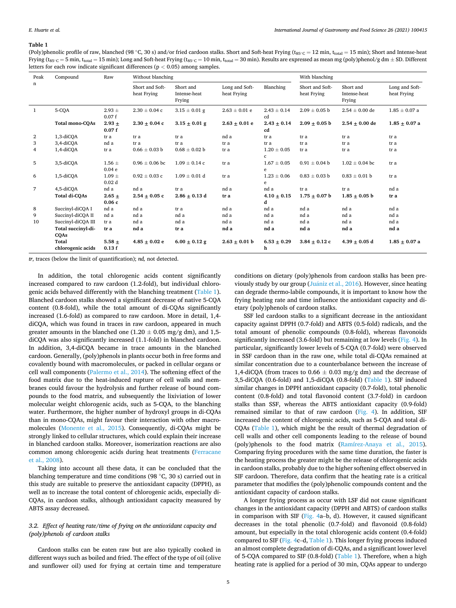#### <span id="page-4-0"></span>**Table 1**

(Poly)phenolic profile of raw, blanched (98 ℃, 30 s) and/or fried cardoon stalks. Short and Soft-heat Frying ( $t_{85°C} = 12$  min,  $t_{total} = 15$  min); Short and Intense-heat Frying ( $t_{85}·$ C = 5 min,  $t_{total}$  = 15 min); Long and Soft-heat Frying ( $t_{85}·$ C = 10 min,  $t_{total}$  = 30 min). Results are expressed as mean mg (poly)phenol/g dm  $\pm$  SD. Different letters for each row indicate significant differences (p *<* 0.05) among samples.

| Peak         | Compound                   | Raw                             | Without blanching              |                                     |                               |                                 | With blanching                 |                                     |                               |
|--------------|----------------------------|---------------------------------|--------------------------------|-------------------------------------|-------------------------------|---------------------------------|--------------------------------|-------------------------------------|-------------------------------|
| n            |                            |                                 | Short and Soft-<br>heat Frying | Short and<br>Intense-heat<br>Frying | Long and Soft-<br>heat Frying | Blanching                       | Short and Soft-<br>heat Frying | Short and<br>Intense-heat<br>Frying | Long and Soft-<br>heat Frying |
| $\mathbf{1}$ | 5-CQA                      | $2.93 \pm$<br>0.07f             | $2.30 \pm 0.04$ c              | $3.15 \pm 0.01$ g                   | $2.63 \pm 0.01$ e             | $2.43 \pm 0.14$<br>cd           | $2.09 \pm 0.05$ b              | $2.54 \pm 0.00$ de                  | $1.85 \pm 0.07$ a             |
|              | <b>Total mono-COAs</b>     | $2.93 +$<br>0.07f               | $2.30 \pm 0.04$ c              | $3.15 \pm 0.01$ g                   | $2.63 + 0.01$ e               | $2.43 + 0.14$<br>cd             | $2.09 + 0.05$ b                | $2.54 + 0.00$ de                    | $1.85 + 0.07$ a               |
| 2            | 1,3-diCQA                  | tr a                            | tr a                           | tr a                                | nd a                          | tr a                            | tr a                           | tr a                                | tr a                          |
| 3            | 3,4-diCOA                  | nd a                            | tr a                           | tr a                                | tr a                          | tr a                            | tr a                           | tr a                                | tr a                          |
| 4            | 1,4-diCOA                  | tr a                            | $0.66\pm0.03$ b                | $0.68 \pm 0.02$ b                   | tr a                          | $1.20 \pm 0.05$<br>$\mathbf{c}$ | tr a                           | tr a                                | tr a                          |
| 5            | 3,5-diCOA                  | $1.56 \pm$<br>0.04 <sub>e</sub> | $0.96 \pm 0.06$ bc             | $1.09 \pm 0.14$ c                   | tr a                          | $1.67 \pm 0.05$<br>e            | $0.91 \pm 0.04$ b              | $1.02 \pm 0.04$ bc                  | tr a                          |
| 6            | 1,5-diCQA                  | $1.09 \pm$<br>0.02 <sub>d</sub> | $0.92 \pm 0.03$ c              | $1.09 \pm 0.01$ d                   | tr a                          | $1.23 \pm 0.06$<br>e            | $0.83 \pm 0.03$ b              | $0.83 \pm 0.01$ b                   | tr a                          |
| 7            | 4,5-diCQA                  | nd a                            | nd a                           | tr a                                | nd a                          | nd a                            | tr a                           | tr a                                | nd a                          |
|              | Total di-COAs              | $2.65 +$<br>0.06c               | $2.54 + 0.05c$                 | $2.86 + 0.13$ d                     | tr a                          | $4.10 + 0.15$<br>d              | $1.75 + 0.07$ b                | $1.85 + 0.05$ b                     | tr a                          |
| 8            | Succinyl-diCQA I           | nd a                            | nd a                           | tr a                                | nd a                          | nd a                            | nd a                           | nd a                                | nd a                          |
| 9            | Succinyl-diCQA II          | nd a                            | nd a                           | nd a                                | nd a                          | nd a                            | nd a                           | nd a                                | nd a                          |
| 10           | Succinyl-diCQA III         | tr a                            | nd a                           | nd a                                | nd a                          | nd a                            | nd a                           | nd a                                | nd a                          |
|              | Total succinyl-di-<br>CQAs | tr a                            | nd a                           | tr a                                | nd a                          | nd a                            | nd a                           | nd a                                | nd a                          |
|              | Total<br>chlorogenic acids | $5.58 +$<br>0.13f               | $4.85 + 0.02$ e                | $6.00 \pm 0.12$ g                   | $2.63 + 0.01$ b               | $6.53 + 0.29$<br>h              | $3.84 + 0.12c$                 | $4.39 + 0.05$ d                     | $1.85 + 0.07$ a               |

*tr*, traces (below the limit of quantification); *nd,* not detected.

In addition, the total chlorogenic acids content significantly increased compared to raw cardoon (1.2-fold), but individual chlorogenic acids behaved differently with the blanching treatment (Table 1). Blanched cardoon stalks showed a significant decrease of native 5-CQA content (0.8-fold), while the total amount of di-CQAs significantly increased (1.6-fold) as compared to raw cardoon. More in detail, 1,4 diCQA, which was found in traces in raw cardoon, appeared in much greater amounts in the blanched one (1.20  $\pm$  0.05 mg/g dm), and 1,5diCQA was also significantly increased (1.1-fold) in blanched cardoon. In addition, 3,4-diCQA became in trace amounts in the blanched cardoon. Generally, (poly)phenols in plants occur both in free forms and covalently bound with macromolecules, or packed in cellular organs or cell wall components [\(Palermo et al., 2014\)](#page-7-0). The softening effect of the food matrix due to the heat-induced rupture of cell walls and membranes could favour the hydrolysis and further release of bound compounds to the food matrix, and subsequently the lixiviation of lower molecular weight chlorogenic acids, such as 5-CQA, to the blanching water. Furthermore, the higher number of hydroxyl groups in di-CQAs than in mono-CQAs, might favour their interaction with other macromolecules ([Monente et al., 2015\)](#page-6-0). Consequently, di-CQAs might be strongly linked to cellular structures, which could explain their increase in blanched cardoon stalks. Moreover, isomerization reactions are also common among chlorogenic acids during heat treatments ([Ferracane](#page-6-0)  [et al., 2008\)](#page-6-0).

Taking into account all these data, it can be concluded that the blanching temperature and time conditions (98 ◦C, 30 s) carried out in this study are suitable to preserve the antioxidant capacity (DPPH), as well as to increase the total content of chlorogenic acids, especially di-CQAs, in cardoon stalks, although antioxidant capacity measured by ABTS assay decreased.

# *3.2. Effect of heating rate/time of frying on the antioxidant capacity and (poly)phenols of cardoon stalks*

Cardoon stalks can be eaten raw but are also typically cooked in different ways such as boiled and fried. The effect of the type of oil (olive and sunflower oil) used for frying at certain time and temperature

conditions on dietary (poly)phenols from cardoon stalks has been previously study by our group (Juániz [et al., 2016\)](#page-6-0). However, since heating can degrade thermo-labile compounds, it is important to know how the frying heating rate and time influence the antioxidant capacity and dietary (poly)phenols of cardoon stalks.

SSF led cardoon stalks to a significant decrease in the antioxidant capacity against DPPH (0.7-fold) and ABTS (0.5-fold) radicals, and the total amount of phenolic compounds (0.8-fold), whereas flavonoids significantly increased (3.6-fold) but remaining at low levels ([Fig. 4](#page-5-0)). In particular, significantly lower levels of 5-CQA (0.7-fold) were observed in SSF cardoon than in the raw one, while total di-CQAs remained at similar concentration due to a counterbalance between the increase of 1,4-diCQA (from traces to  $0.66 \pm 0.03$  mg/g dm) and the decrease of 3,5-diCQA (0.6-fold) and 1,5-diCQA (0.8-fold) (Table 1). SIF induced similar changes in DPPH antioxidant capacity (0.7-fold), total phenolic content (0.8-fold) and total flavonoid content (3.7-fold) in cardoon stalks than SSF, whereas the ABTS antioxidant capacity (0.9-fold) remained similar to that of raw cardoon ([Fig. 4](#page-5-0)). In addition, SIF increased the content of chlorogenic acids, such as 5-CQA and total di-CQAs (Table 1), which might be the result of thermal degradation of cell walls and other cell components leading to the release of bound (poly)phenols to the food matrix [\(Ramírez-Anaya et al., 2015](#page-7-0)). Comparing frying procedures with the same time duration, the faster is the heating process the greater might be the release of chlorogenic acids in cardoon stalks, probably due to the higher softening effect observed in SIF cardoon. Therefore, data confirm that the heating rate is a critical parameter that modifies the (poly)phenolic compounds content and the antioxidant capacity of cardoon stalks.

A longer frying process as occur with LSF did not cause significant changes in the antioxidant capacity (DPPH and ABTS) of cardoon stalks in comparison with SIF [\(Fig. 4a](#page-5-0)–b, d). However, it caused significant decreases in the total phenolic (0.7-fold) and flavonoid (0.8-fold) amount, but especially in the total chlorogenic acids content (0.4-fold) compared to SIF [\(Fig. 4](#page-5-0)c–d, Table 1). This longer frying process induced an almost complete degradation of di-CQAs, and a significant lower level of 5-CQA compared to SIF (0.8-fold) (Table 1). Therefore, when a high heating rate is applied for a period of 30 min, CQAs appear to undergo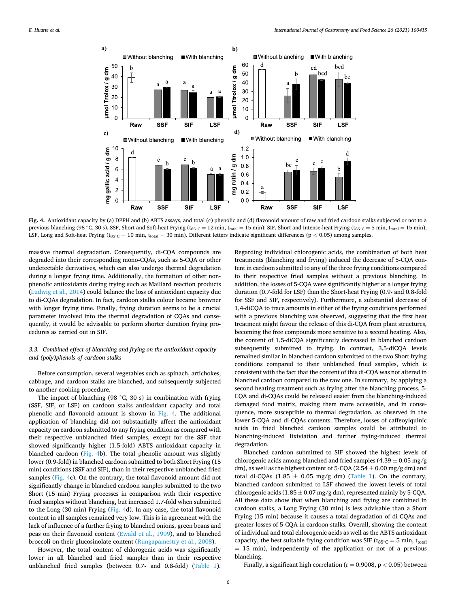<span id="page-5-0"></span>

**Fig. 4.** Antioxidant capacity by (a) DPPH and (b) ABTS assays, and total (c) phenolic and (d) flavonoid amount of raw and fried cardoon stalks subjected or not to a previous blanching (98 °C, 30 s). SSF, Short and Soft-heat Frying (t<sub>85℃</sub> = 12 min, t<sub>total</sub> = 15 min); SIF, Short and Intense-heat Frying (t<sub>85℃</sub> = 5 min, t<sub>total</sub> = 15 min); LSF, Long and Soft-heat Frying (t85◦C = 10 min, ttotal = 30 min). Different letters indicate significant differences (p *<* 0.05) among samples.

massive thermal degradation. Consequently, di-CQA compounds are degraded into their corresponding mono-CQAs, such as 5-CQA or other undetectable derivatives, which can also undergo thermal degradation during a longer frying time. Additionally, the formation of other nonphenolic antioxidants during frying such as Maillard reaction products ([Ludwig et al., 2014\)](#page-6-0) could balance the loss of antioxidant capacity due to di-CQAs degradation. In fact, cardoon stalks colour became browner with longer frying time. Finally, frying duration seems to be a crucial parameter involved into the thermal degradation of CQAs and consequently, it would be advisable to perform shorter duration frying procedures as carried out in SIF.

# *3.3. Combined effect of blanching and frying on the antioxidant capacity and (poly)phenols of cardoon stalks*

Before consumption, several vegetables such as spinach, artichokes, cabbage, and cardoon stalks are blanched, and subsequently subjected to another cooking procedure.

The impact of blanching (98  $°C$ , 30 s) in combination with frying (SSF, SIF, or LSF) on cardoon stalks antioxidant capacity and total phenolic and flavonoid amount is shown in Fig. 4. The additional application of blanching did not substantially affect the antioxidant capacity on cardoon submitted to any frying condition as compared with their respective unblanched fried samples, except for the SSF that showed significantly higher (1.5-fold) ABTS antioxidant capacity in blanched cardoon (Fig. 4b). The total phenolic amount was slightly lower (0.9-fold) in blanched cardoon submitted to both Short Frying (15 min) conditions (SSF and SIF), than in their respective unblanched fried samples (Fig. 4c). On the contrary, the total flavonoid amount did not significantly change in blanched cardoon samples submitted to the two Short (15 min) Frying processes in comparison with their respective fried samples without blanching, but increased 1.7-fold when submitted to the Long (30 min) Frying (Fig. 4d). In any case, the total flavonoid content in all samples remained very low. This is in agreement with the lack of influence of a further frying to blanched onions, green beans and peas on their flavonoid content [\(Ewald et al., 1999](#page-6-0)), and to blanched broccoli on their glucosinolate content ([Rungapamestry et al., 2008](#page-7-0)).

However, the total content of chlorogenic acids was significantly lower in all blanched and fried samples than in their respective unblanched fried samples (between 0.7- and 0.8-fold) [\(Table 1](#page-4-0)).

Regarding individual chlorogenic acids, the combination of both heat treatments (blanching and frying) induced the decrease of 5-CQA content in cardoon submitted to any of the three frying conditions compared to their respective fried samples without a previous blanching. In addition, the losses of 5-CQA were significantly higher at a longer frying duration (0.7-fold for LSF) than the Short-heat Frying (0.9- and 0.8-fold for SSF and SIF, respectively). Furthermore, a substantial decrease of 1,4-diCQA to trace amounts in either of the frying conditions performed with a previous blanching was observed, suggesting that the first heat treatment might favour the release of this di-CQA from plant structures, becoming the free compounds more sensitive to a second heating. Also, the content of 1,5-diCQA significantly decreased in blanched cardoon subsequently submitted to frying. In contrast, 3,5-diCQA levels remained similar in blanched cardoon submitted to the two Short frying conditions compared to their unblanched fried samples, which is consistent with the fact that the content of this di-CQA was not altered in blanched cardoon compared to the raw one. In summary, by applying a second heating treatment such as frying after the blanching process, 5- CQA and di-CQAs could be released easier from the blanching-induced damaged food matrix, making them more accessible, and in consequence, more susceptible to thermal degradation, as observed in the lower 5-CQA and di-CQAs contents. Therefore, losses of caffeoylquinic acids in fried blanched cardoon samples could be attributed to blanching-induced lixiviation and further frying-induced thermal degradation.

Blanched cardoon submitted to SIF showed the highest levels of chlorogenic acids among blanched and fried samples (4.39  $\pm$  0.05 mg/g dm), as well as the highest content of 5-CQA (2.54 ± 0.00 mg/g dm**)** and total di-CQAs (1.85  $\pm$  0.05 mg/g dm) [\(Table 1](#page-4-0)). On the contrary, blanched cardoon submitted to LSF showed the lowest levels of total chlorogenic acids (1.85  $\pm$  0.07 mg/g dm), represented mainly by 5-CQA. All these data show that when blanching and frying are combined in cardoon stalks, a Long Frying (30 min) is less advisable than a Short Frying (15 min) because it causes a total degradation of di-CQAs and greater losses of 5-CQA in cardoon stalks. Overall, showing the content of individual and total chlorogenic acids as well as the ABTS antioxidant capacity, the best suitable frying condition was SIF ( $t_{85°C} = 5$  min,  $t_{total}$ )  $= 15$  min), independently of the application or not of a previous blanching.

Finally, a significant high correlation (r = 0.9008, p *<* 0.05) between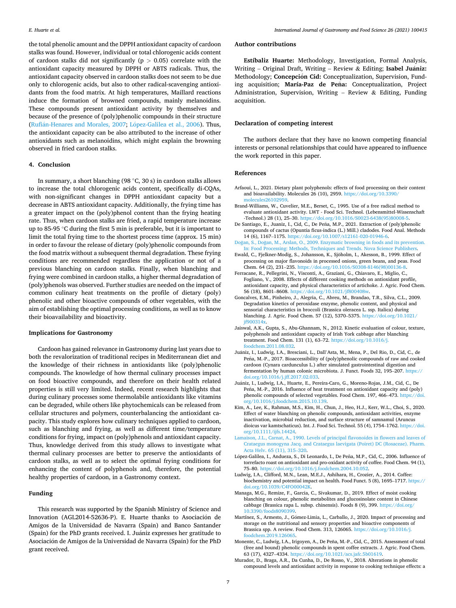<span id="page-6-0"></span>the total phenolic amount and the DPPH antioxidant capacity of cardoon stalks was found. However, individual or total chlorogenic acids content of cardoon stalks did not significantly (p *>* 0.05) correlate with the antioxidant capacity measured by DPPH or ABTS radicals. Thus, the antioxidant capacity observed in cardoon stalks does not seem to be due only to chlorogenic acids, but also to other radical-scavenging antioxidants from the food matrix. At high temperatures, Maillard reactions induce the formation of browned compounds, mainly melanoidins. These compounds present antioxidant activity by themselves and because of the presence of (poly)phenolic compounds in their structure (Rufián-Henares [and Morales, 2007;](#page-7-0) López-Galilea et al., 2006). Thus, the antioxidant capacity can be also attributed to the increase of other antioxidants such as melanoidins, which might explain the browning observed in fried cardoon stalks.

#### **4. Conclusion**

In summary, a short blanching (98 ◦C, 30 s) in cardoon stalks allows to increase the total chlorogenic acids content, specifically di-CQAs, with non-significant changes in DPPH antioxidant capacity but a decrease in ABTS antioxidant capacity. Additionally, the frying time has a greater impact on the (poly)phenol content than the frying heating rate. Thus, when cardoon stalks are fried, a rapid temperature increase up to 85-95 ◦C during the first 5 min is preferable, but it is important to limit the total frying time to the shortest process time (approx. 15 min) in order to favour the release of dietary (poly)phenolic compounds from the food matrix without a subsequent thermal degradation. These frying conditions are recommended regardless the application or not of a previous blanching on cardoon stalks. Finally, when blanching and frying were combined in cardoon stalks, a higher thermal degradation of (poly)phenols was observed. Further studies are needed on the impact of common culinary heat treatments on the profile of dietary (poly) phenolic and other bioactive compounds of other vegetables, with the aim of establishing the optimal processing conditions, as well as to know their bioavailability and bioactivity.

#### **Implications for Gastronomy**

Cardoon has gained relevance in Gastronomy during last years due to both the revalorization of traditional recipes in Mediterranean diet and the knowledge of their richness in antioxidants like (poly)phenolic compounds. The knowledge of how thermal culinary processes impact on food bioactive compounds, and therefore on their health related properties is still very limited. Indeed, recent research highlights that during culinary processes some thermolabile antioxidants like vitamins can be degraded, while others like phytochemicals can be released from cellular structures and polymers, counterbalancing the antioxidant capacity. This study explores how culinary techniques applied to cardoon, such as blanching and frying, as well as different time/temperature conditions for frying, impact on (poly)phenols and antioxidant capacity. Thus, knowledge derived from this study allows to investigate what thermal culinary processes are better to preserve the antioxidants of cardoon stalks, as well as to select the optimal frying conditions for enhancing the content of polyphenols and, therefore, the potential healthy properties of cardoon, in a Gastronomy context.

## **Funding**

This research was supported by the Spanish Ministry of Science and Innovation (AGL2014-52636-P). E. Huarte thanks to Asociación de Amigos de la Universidad de Navarra (Spain) and Banco Santander (Spain) for the PhD grants received. I. Juániz expresses her gratitude to Asociación de Amigos de la Universidad de Navarra (Spain) for the PhD grant received.

## **Author contributions**

**Estíbaliz Huarte:** Methodology, Investigation, Formal Analysis, Writing - Original Draft, Writing - Review & Editing; Isabel Juániz: Methodology; Concepción Cid: Conceptualization, Supervision, Funding acquisition; María-Paz de Peña: Conceptualization, Project Administration, Supervision, Writing – Review & Editing, Funding acquisition.

## **Declaration of competing interest**

The authors declare that they have no known competing financial interests or personal relationships that could have appeared to influence the work reported in this paper.

#### **References**

- Arfaoui, L., 2021. Dietary plant polyphenols: effects of food processing on their content and bioavailability. Molecules 26 (10), 2959. https://doi.org/10.3 molecules261029
- Brand-Williams, W., Cuvelier, M.E., Berset, C., 1995. Use of a free radical method to evaluate antioxidant activity. LWT - Food Sci. Technol. (Lebensmittel-Wissenschaft -Technol.) 28 (1), 25–30. [https://doi.org/10.1016/S0023-6438\(95\)80008-5.](https://doi.org/10.1016/S0023-6438(95)80008-5)
- De Santiago, E., Juaniz, I., Cid, C., De Peña, M.P., 2021. Extraction of (poly)phenolic compounds of cactus (Opuntia ficus-indica (L.) Mill.) cladodes. Food Anal. Methods 14 (6), 1167–1175. [https://doi.org/10.1007/s12161-020-01946-6.](https://doi.org/10.1007/s12161-020-01946-6)
- Doğan, S., Doğan, M., Arslan, O., 2009. Enzymatic browning in foods and its pre [In: Food Processing: Methods, Techniques and Trends. Nova Science Publishers.](http://refhub.elsevier.com/S1878-450X(21)00114-1/sref4)
- Ewald, C., Fjelkner-Modig, S., Johansson, K., Sjöholm, I., Akesson, B., 1999. Effect of processing on major flavonoids in processed onions, green beans, and peas. Food Chem. 64 (2), 231–235. [https://doi.org/10.1016/S0308-8146\(98\)00136-8](https://doi.org/10.1016/S0308-8146(98)00136-8).
- Ferracane, R., Pellegrini, N., Visconti, A., Graziani, G., Chiavaro, E., Miglio, C., Fogliano, V., 2008. Effects of different cooking methods on antioxidant profile, antioxidant capacity, and physical characteristics of artichoke. J. Agric. Food Chem.<br>56 (18). 8601-8608. https://doi.org/10.1021/if800408w. //doi.org/10.1021/jf800408w
- Goncalves, E.M., Pinheiro, J., Alegria, C., Abreu, M., Brandao, T.R., Silva, C.L., 2009. Degradation kinetics of peroxidase enzyme, phenolic content, and physical and sensorial characteristics in broccoli (Brassica oleracea L. ssp. Italica) during blanching. J. Agric. Food Chem. 57 (12), 5370–5375. [https://doi.org/10.1021/](https://doi.org/10.1021/jf900314x) [jf900314x](https://doi.org/10.1021/jf900314x).
- Jaiswal, A.K., Gupta, S., Abu-Ghannam, N., 2012. Kinetic evaluation of colour, texture, polyphenols and antioxidant capacity of Irish York cabbage after blanching treatment. Food Chem. 131 (1), 63–72. [https://doi.org/10.1016/j.](https://doi.org/10.1016/j.foodchem.2011.08.032) [foodchem.2011.08.032](https://doi.org/10.1016/j.foodchem.2011.08.032).
- Juániz, I., Ludwig, I.A., Bresciani, L., Dall'Asta, M., Mena, P., Del Rio, D., Cid, C., de Peña, M.-P., 2017. Bioaccessibility of (poly)phenolic compounds of raw and cooked cardoon (Cynara cardunculus L.) after simulated gastrointestinal digestion and fermentation by human colonic microbiota. J. Funct. Foods 32, 195–207. [https://](https://doi.org/10.1016/j.jff.2017.02.033) [doi.org/10.1016/j.jff.2017.02.033.](https://doi.org/10.1016/j.jff.2017.02.033)
- Juániz, I., Ludwig, I.A., Huarte, E., Pereira-Caro, G., Moreno-Rojas, J.M., Cid, C., De Peña, M.-P., 2016. Influence of heat treatment on antioxidant capacity and (poly) phenolic compounds of selected vegetables. Food Chem. 197, 466–473. [https://doi.](https://doi.org/10.1016/j.foodchem.2015.10.139)  [org/10.1016/j.foodchem.2015.10.139.](https://doi.org/10.1016/j.foodchem.2015.10.139)
- Kim, A., Lee, K., Rahman, M.S., Kim, H., Chun, J., Heo, H.J., Kerr, W.L., Choi, S., 2020. Effect of water blanching on phenolic compounds, antioxidant activities, enzyme inactivation, microbial reduction, and surface structure of samnamul (Aruncus dioicus var kamtschaticus). Int. J. Food Sci. Technol. 55 (4), 1754–1762. [https://doi.](https://doi.org/10.1111/ijfs.14424)  [org/10.1111/ijfs.14424.](https://doi.org/10.1111/ijfs.14424)
- [Lamaison, J.L., Carnat, A., 1990. Levels of principal flavonoides in flowers and leaves of](http://refhub.elsevier.com/S1878-450X(21)00114-1/sref12)  [Crataegus monogyna Jacq. and Crataegus laevigata \(Poiret\) DC \(Rosaceae\). Pharm.](http://refhub.elsevier.com/S1878-450X(21)00114-1/sref12)  [Acta Helv. 65 \(11\), 315](http://refhub.elsevier.com/S1878-450X(21)00114-1/sref12)–320.
- López-Galilea, I., Andueza, S., Di Leonardo, I., De Peña, M.P., Cid, C., 2006. Influence of torrefacto roast on antioxidant and pro-oxidant activity of coffee. Food Chem. 94 (1), 75–80. [https://doi.org/10.1016/j.foodchem.2004.10.052.](https://doi.org/10.1016/j.foodchem.2004.10.052)
- Ludwig, I.A., Clifford, M.N., Lean, M.E.J., Ashihara, H., Crozier, A., 2014. Coffee: biochemistry and potential impact on health. Food Funct. 5 (8), 1695–1717. [https://](https://doi.org/10.1039/C4FO00042K)  [doi.org/10.1039/C4FO00042K.](https://doi.org/10.1039/C4FO00042K)
- Managa, M.G., Remize, F., Garcia, C., Sivakumar, D., 2019. Effect of moist cooking blanching on colour, phenolic metabolites and glucosinolate content in Chinese cabbage (Brassica rapa L. subsp. chinensis). Foods 8 (9), 399. [https://doi.org/](https://doi.org/10.3390/foods8090399)  [10.3390/foods8090399](https://doi.org/10.3390/foods8090399).
- Martínez, S., Armesto, J., Gómez-Limia, L., Carballo, J., 2020. Impact of processing and storage on the nutritional and sensory properties and bioactive components of Brassica spp. A review. Food Chem. 313, 126065. [https://doi.org/10.1016/j.](https://doi.org/10.1016/j.foodchem.2019.126065) [foodchem.2019.126065.](https://doi.org/10.1016/j.foodchem.2019.126065)
- Monente, C., Ludwig, I.A., Irigoyen, A., De Peña, M.-P., Cid, C., 2015. Assessment of total (free and bound) phenolic compounds in spent coffee extracts. J. Agric. Food Chem. 63 (17), 4327–4334. [https://doi.org/10.1021/acs.jafc.5b01619.](https://doi.org/10.1021/acs.jafc.5b01619)
- Murador, D., Braga, A.R., Da Cunha, D., De Rosso, V., 2018. Alterations in phenolic compound levels and antioxidant activity in response to cooking technique effects: a